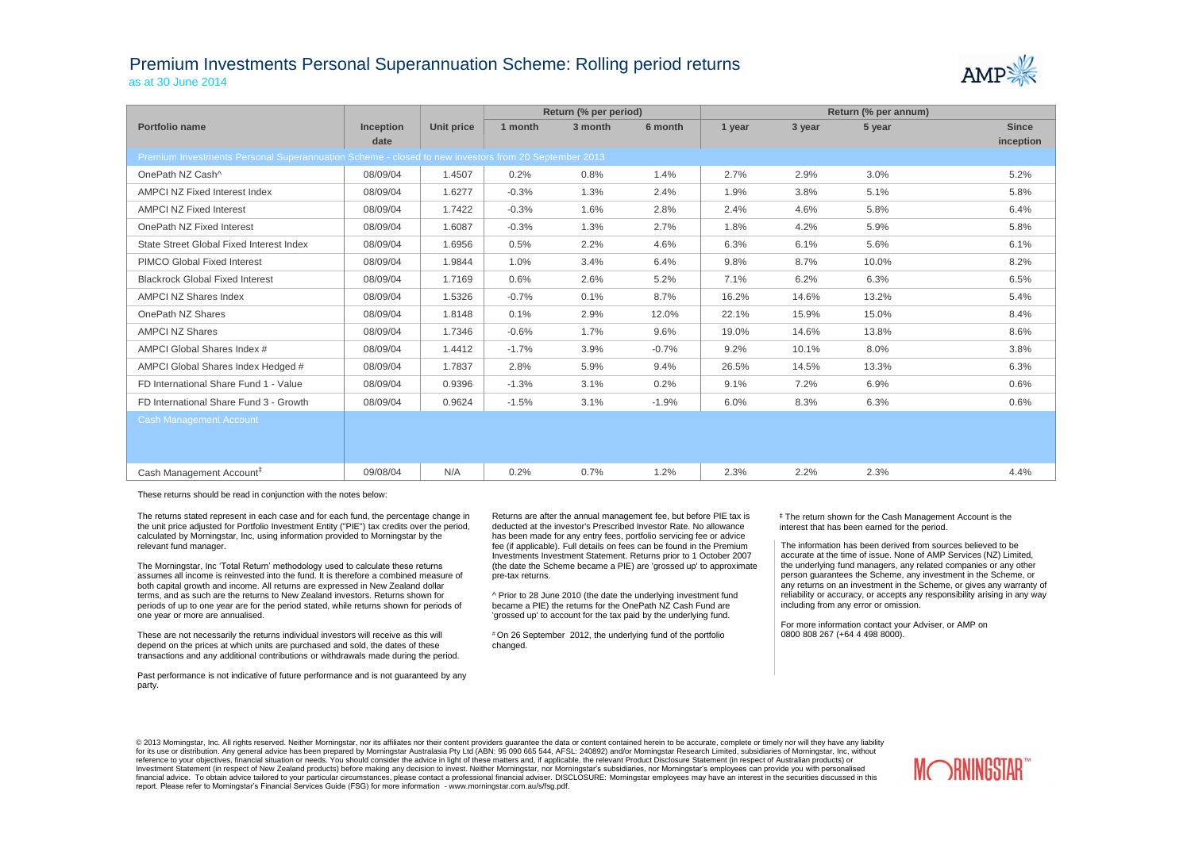## Premium Investments Personal Superannuation Scheme: Rolling period returns

as at 30 June 2014

|                                                                                                     |                  |                   | Return (% per period) |         |         | Return (% per annum) |        |        |              |
|-----------------------------------------------------------------------------------------------------|------------------|-------------------|-----------------------|---------|---------|----------------------|--------|--------|--------------|
| <b>Portfolio name</b>                                                                               | <b>Inception</b> | <b>Unit price</b> | 1 month               | 3 month | 6 month | 1 year               | 3 year | 5 year | <b>Since</b> |
|                                                                                                     | date             |                   |                       |         |         |                      |        |        | inception    |
| Premium Investments Personal Superannuation Scheme - closed to new investors from 20 September 2013 |                  |                   |                       |         |         |                      |        |        |              |
| OnePath NZ Cash^                                                                                    | 08/09/04         | 1.4507            | 0.2%                  | 0.8%    | 1.4%    | 2.7%                 | 2.9%   | 3.0%   | 5.2%         |
| AMPCI NZ Fixed Interest Index                                                                       | 08/09/04         | 1.6277            | $-0.3%$               | 1.3%    | 2.4%    | 1.9%                 | 3.8%   | 5.1%   | 5.8%         |
| <b>AMPCI NZ Fixed Interest</b>                                                                      | 08/09/04         | 1.7422            | $-0.3%$               | 1.6%    | 2.8%    | 2.4%                 | 4.6%   | 5.8%   | 6.4%         |
| OnePath NZ Fixed Interest                                                                           | 08/09/04         | 1.6087            | $-0.3%$               | 1.3%    | 2.7%    | 1.8%                 | 4.2%   | 5.9%   | 5.8%         |
| State Street Global Fixed Interest Index                                                            | 08/09/04         | 1.6956            | 0.5%                  | 2.2%    | 4.6%    | 6.3%                 | 6.1%   | 5.6%   | 6.1%         |
| PIMCO Global Fixed Interest                                                                         | 08/09/04         | 1.9844            | 1.0%                  | 3.4%    | 6.4%    | 9.8%                 | 8.7%   | 10.0%  | 8.2%         |
| <b>Blackrock Global Fixed Interest</b>                                                              | 08/09/04         | 1.7169            | 0.6%                  | 2.6%    | 5.2%    | 7.1%                 | 6.2%   | 6.3%   | 6.5%         |
| <b>AMPCI NZ Shares Index</b>                                                                        | 08/09/04         | 1.5326            | $-0.7%$               | 0.1%    | 8.7%    | 16.2%                | 14.6%  | 13.2%  | 5.4%         |
| OnePath NZ Shares                                                                                   | 08/09/04         | 1.8148            | 0.1%                  | 2.9%    | 12.0%   | 22.1%                | 15.9%  | 15.0%  | 8.4%         |
| <b>AMPCI NZ Shares</b>                                                                              | 08/09/04         | 1.7346            | $-0.6%$               | 1.7%    | 9.6%    | 19.0%                | 14.6%  | 13.8%  | 8.6%         |
| AMPCI Global Shares Index #                                                                         | 08/09/04         | 1.4412            | $-1.7%$               | 3.9%    | $-0.7%$ | 9.2%                 | 10.1%  | 8.0%   | 3.8%         |
| AMPCI Global Shares Index Hedged #                                                                  | 08/09/04         | 1.7837            | 2.8%                  | 5.9%    | 9.4%    | 26.5%                | 14.5%  | 13.3%  | 6.3%         |
| FD International Share Fund 1 - Value                                                               | 08/09/04         | 0.9396            | $-1.3%$               | 3.1%    | 0.2%    | 9.1%                 | 7.2%   | 6.9%   | 0.6%         |
| FD International Share Fund 3 - Growth                                                              | 08/09/04         | 0.9624            | $-1.5%$               | 3.1%    | $-1.9%$ | 6.0%                 | 8.3%   | 6.3%   | 0.6%         |
| <b>Cash Management Account</b>                                                                      |                  |                   |                       |         |         |                      |        |        |              |
|                                                                                                     |                  |                   |                       |         |         |                      |        |        |              |
|                                                                                                     |                  |                   |                       |         |         |                      |        |        |              |
| Cash Management Account <sup>#</sup>                                                                | 09/08/04         | N/A               | 0.2%                  | 0.7%    | 1.2%    | 2.3%                 | 2.2%   | 2.3%   | 4.4%         |

These returns should be read in conjunction with the notes below:

The returns stated represent in each case and for each fund, the percentage change in the unit price adjusted for Portfolio Investment Entity ("PIE") tax credits over the period, calculated by Morningstar, Inc, using information provided to Morningstar by the relevant fund manager.

The Morningstar, Inc 'Total Return' methodology used to calculate these returns assumes all income is reinvested into the fund. It is therefore a combined measure of both capital growth and income. All returns are expressed in New Zealand dollar terms, and as such are the returns to New Zealand investors. Returns shown for periods of up to one year are for the period stated, while returns shown for periods of one year or more are annualised.

These are not necessarily the returns individual investors will receive as this will depend on the prices at which units are purchased and sold, the dates of these transactions and any additional contributions or withdrawals made during the period.

© 2013 Morningstar, Inc. All rights reserved. Neither Morningstar, nor its affiliates nor their content providers guarantee the data or content contained herein to be accurate, complete or timely nor will they have any lia for its use or distribution. Any general advice has been prepared by Morningstar Australasia Pty Ltd (ABN: 95 090 665 544, AFSL: 240892) and/or Morningstar Research Limited, subsidiaries of Morningstar, Inc, without reference to your objectives, financial situation or needs. You should consider the advice in light of these matters and, if applicable, the relevant Product Disclosure Statement (in respect of Australian products) or Investment Statement (in respect of New Zealand products) before making any decision to invest. Neither Morningstar, nor Morningstar's subsidiaries, nor Morningstar's employees can provide you with personalised financial advice. To obtain advice tailored to your particular circumstances, please contact a professional financial adviser. DISCLOSURE: Morningstar employees may have an interest in the securities discussed in this report. Please refer to Morningstar's Financial Services Guide (FSG) for more information - www.morningstar.com.au/s/fsg.pdf.





Past performance is not indicative of future performance and is not guaranteed by any party.

Returns are after the annual management fee, but before PIE tax is deducted at the investor's Prescribed Investor Rate. No allowance has been made for any entry fees, portfolio servicing fee or advice fee (if applicable). Full details on fees can be found in the Premium Investments Investment Statement. Returns prior to 1 October 2007 (the date the Scheme became a PIE) are 'grossed up' to approximate pre-tax returns.

^ Prior to 28 June 2010 (the date the underlying investment fund became a PIE) the returns for the OnePath NZ Cash Fund are 'grossed up' to account for the tax paid by the underlying fund.

# On 26 September 2012, the underlying fund of the portfolio changed.

The information has been derived from sources believed to be accurate at the time of issue. None of AMP Services (NZ) Limited, the underlying fund managers, any related companies or any other person guarantees the Scheme, any investment in the Scheme, or any returns on an investment in the Scheme, or gives any warranty of reliability or accuracy, or accepts any responsibility arising in any way including from any error or omission.

For more information contact your Adviser, or AMP on 0800 808 267 (+64 4 498 8000).

‡ The return shown for the Cash Management Account is the interest that has been earned for the period.